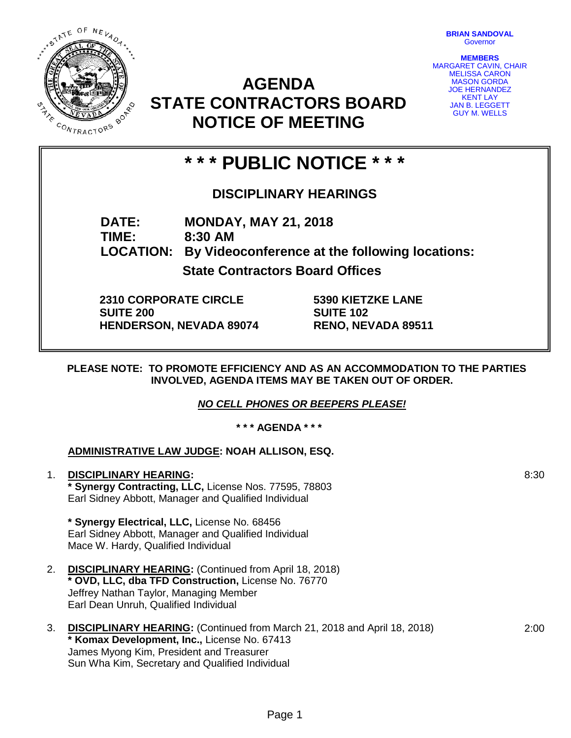STATE OF NEVADA. **CANCE MAR** CONTRACTORS

**BRIAN SANDOVAL Governor** 

**MEMBERS** MARGARET CAVIN, CHAIR MELISSA CARON MASON GORDA JOE HERNANDEZ KENT LAY **JAN B. LEGGETT** GUY M. WELLS

# **AGENDA STATE CONTRACTORS BOARD NOTICE OF MEETING**

# **\* \* \* PUBLIC NOTICE \* \* \***

## **DISCIPLINARY HEARINGS**

**DATE: MONDAY, MAY 21, 2018 TIME: 8:30 AM LOCATION: By Videoconference at the following locations: State Contractors Board Offices**

**2310 CORPORATE CIRCLE SUITE 200 HENDERSON, NEVADA 89074** **5390 KIETZKE LANE SUITE 102 RENO, NEVADA 89511**

**PLEASE NOTE: TO PROMOTE EFFICIENCY AND AS AN ACCOMMODATION TO THE PARTIES INVOLVED, AGENDA ITEMS MAY BE TAKEN OUT OF ORDER.**

*NO CELL PHONES OR BEEPERS PLEASE!* 

**\* \* \* AGENDA \* \* \***

### **ADMINISTRATIVE LAW JUDGE: NOAH ALLISON, ESQ.**

1. **DISCIPLINARY HEARING: \* Synergy Contracting, LLC,** License Nos. 77595, 78803 Earl Sidney Abbott, Manager and Qualified Individual

**\* Synergy Electrical, LLC,** License No. 68456 Earl Sidney Abbott, Manager and Qualified Individual Mace W. Hardy, Qualified Individual

- 2. **DISCIPLINARY HEARING:** (Continued from April 18, 2018) **\* OVD, LLC, dba TFD Construction,** License No. 76770 Jeffrey Nathan Taylor, Managing Member Earl Dean Unruh, Qualified Individual
- 3. **DISCIPLINARY HEARING:** (Continued from March 21, 2018 and April 18, 2018) **\* Komax Development, Inc.,** License No. 67413 James Myong Kim, President and Treasurer Sun Wha Kim, Secretary and Qualified Individual

2:00

8:30